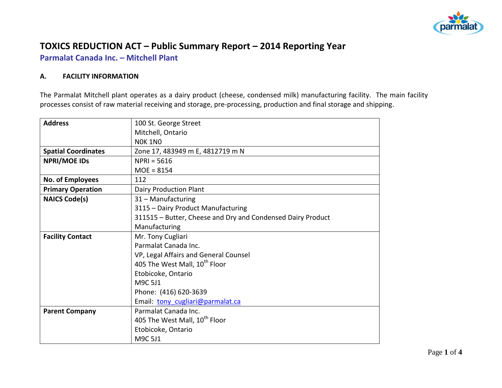

# **TOXICS REDUCTION ACT – Public Summary Report – 2014 Reporting Year**

**Parmalat Canada Inc. – Mitchell Plant**

#### **A. FACILITY INFORMATION**

The Parmalat Mitchell plant operates as a dairy product (cheese, condensed milk) manufacturing facility. The main facility processes consist of raw material receiving and storage, pre-processing, production and final storage and shipping.

| <b>Address</b>             | 100 St. George Street                                       |  |  |  |  |
|----------------------------|-------------------------------------------------------------|--|--|--|--|
|                            | Mitchell, Ontario                                           |  |  |  |  |
|                            | <b>NOK 1NO</b>                                              |  |  |  |  |
| <b>Spatial Coordinates</b> | Zone 17, 483949 m E, 4812719 m N                            |  |  |  |  |
| <b>NPRI/MOE IDS</b>        | $NPRI = 5616$                                               |  |  |  |  |
|                            | $MOE = 8154$                                                |  |  |  |  |
| No. of Employees           | 112                                                         |  |  |  |  |
| <b>Primary Operation</b>   | Dairy Production Plant                                      |  |  |  |  |
| <b>NAICS Code(s)</b>       | 31 - Manufacturing                                          |  |  |  |  |
|                            | 3115 - Dairy Product Manufacturing                          |  |  |  |  |
|                            | 311515 - Butter, Cheese and Dry and Condensed Dairy Product |  |  |  |  |
|                            | Manufacturing                                               |  |  |  |  |
| <b>Facility Contact</b>    | Mr. Tony Cugliari                                           |  |  |  |  |
|                            | Parmalat Canada Inc.                                        |  |  |  |  |
|                            | VP, Legal Affairs and General Counsel                       |  |  |  |  |
|                            | 405 The West Mall, 10 <sup>th</sup> Floor                   |  |  |  |  |
|                            | Etobicoke, Ontario                                          |  |  |  |  |
|                            | M9C 5J1                                                     |  |  |  |  |
|                            | Phone: (416) 620-3639                                       |  |  |  |  |
|                            | Email: tony cugliari@parmalat.ca                            |  |  |  |  |
| <b>Parent Company</b>      | Parmalat Canada Inc.                                        |  |  |  |  |
|                            | 405 The West Mall, 10 <sup>th</sup> Floor                   |  |  |  |  |
|                            | Etobicoke, Ontario                                          |  |  |  |  |
|                            | M9C 5J1                                                     |  |  |  |  |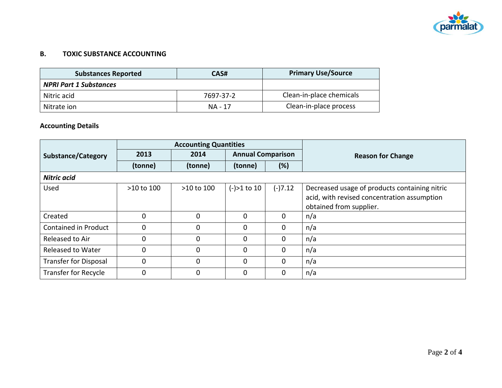

### **B. TOXIC SUBSTANCE ACCOUNTING**

| <b>Substances Reported</b>    | CAS#      | <b>Primary Use/Source</b> |
|-------------------------------|-----------|---------------------------|
| <b>NPRI Part 1 Substances</b> |           |                           |
| Nitric acid                   | 7697-37-2 | Clean-in-place chemicals  |
| Nitrate ion                   | NA - 17   | Clean-in-place process    |

## **Accounting Details**

|                              | <b>Accounting Quantities</b> |            |                          |           |                                               |
|------------------------------|------------------------------|------------|--------------------------|-----------|-----------------------------------------------|
| <b>Substance/Category</b>    | 2013                         | 2014       | <b>Annual Comparison</b> |           | <b>Reason for Change</b>                      |
|                              | (tonne)                      | (tonne)    | (tonne)                  | (%)       |                                               |
| Nitric acid                  |                              |            |                          |           |                                               |
| <b>Used</b>                  | >10 to 100                   | >10 to 100 | $(-) > 1$ to 10          | $(-)7.12$ | Decreased usage of products containing nitric |
|                              |                              |            |                          |           | acid, with revised concentration assumption   |
|                              |                              |            |                          |           | obtained from supplier.                       |
| Created                      | $\Omega$                     | $\Omega$   | $\Omega$                 | $\Omega$  | n/a                                           |
| Contained in Product         | 0                            | $\Omega$   | $\Omega$                 | $\Omega$  | n/a                                           |
| Released to Air              | 0                            | $\Omega$   | $\Omega$                 | 0         | n/a                                           |
| <b>Released to Water</b>     | 0                            | $\Omega$   | $\Omega$                 | $\Omega$  | n/a                                           |
| <b>Transfer for Disposal</b> | $\Omega$                     | $\Omega$   | $\Omega$                 | $\Omega$  | n/a                                           |
| Transfer for Recycle         | 0                            | $\Omega$   | $\Omega$                 | 0         | n/a                                           |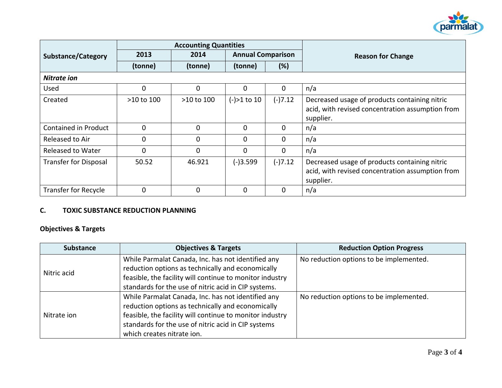

|                              | <b>Accounting Quantities</b> |                                  |                 |           |                                                                                                                |
|------------------------------|------------------------------|----------------------------------|-----------------|-----------|----------------------------------------------------------------------------------------------------------------|
| <b>Substance/Category</b>    | 2013                         | <b>Annual Comparison</b><br>2014 |                 |           | <b>Reason for Change</b>                                                                                       |
|                              | (tonne)                      | (tonne)                          | (tonne)         | (%)       |                                                                                                                |
| Nitrate ion                  |                              |                                  |                 |           |                                                                                                                |
| Used                         | 0                            | $\mathbf{0}$                     | 0               | 0         | n/a                                                                                                            |
| Created                      | >10 to 100                   | >10 to 100                       | $(-) > 1$ to 10 | $(-)7.12$ | Decreased usage of products containing nitric<br>acid, with revised concentration assumption from<br>supplier. |
| <b>Contained in Product</b>  | 0                            | $\mathbf{0}$                     | $\Omega$        | $\Omega$  | n/a                                                                                                            |
| Released to Air              | 0                            | $\mathbf{0}$                     | $\Omega$        | 0         | n/a                                                                                                            |
| <b>Released to Water</b>     | 0                            | $\mathbf{0}$                     | $\Omega$        | 0         | n/a                                                                                                            |
| <b>Transfer for Disposal</b> | 50.52                        | 46.921                           | $(-)3.599$      | $(-)7.12$ | Decreased usage of products containing nitric<br>acid, with revised concentration assumption from<br>supplier. |
| <b>Transfer for Recycle</b>  | $\overline{0}$               | $\mathbf{0}$                     | $\Omega$        | $\Omega$  | n/a                                                                                                            |

## **C. TOXIC SUBSTANCE REDUCTION PLANNING**

## **Objectives & Targets**

| <b>Substance</b> | <b>Objectives &amp; Targets</b>                                                                                                                                                                                                                          | <b>Reduction Option Progress</b>        |
|------------------|----------------------------------------------------------------------------------------------------------------------------------------------------------------------------------------------------------------------------------------------------------|-----------------------------------------|
| Nitric acid      | While Parmalat Canada, Inc. has not identified any<br>reduction options as technically and economically<br>feasible, the facility will continue to monitor industry<br>standards for the use of nitric acid in CIP systems.                              | No reduction options to be implemented. |
| Nitrate ion      | While Parmalat Canada, Inc. has not identified any<br>reduction options as technically and economically<br>feasible, the facility will continue to monitor industry<br>standards for the use of nitric acid in CIP systems<br>which creates nitrate ion. | No reduction options to be implemented. |